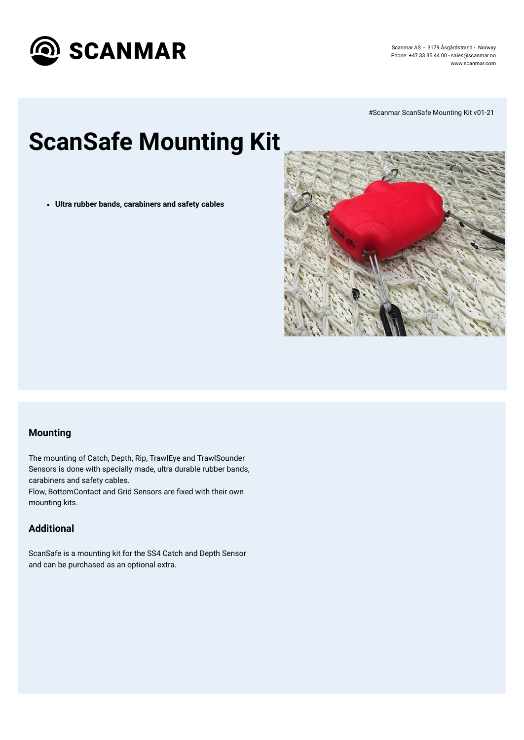

Scanmar AS - 3179 Åsgårdstrand - Norway Phone: +47 33 35 44 00 - [sales@scanmar.no](mailto:sales@scanmar.no) www.scanmar.com

# **ScanSafe Mounting Kit**

#Scanmar ScanSafe Mounting Kit v01-21

**Ultra rubber bands, carabiners and safety cables**



### **Mounting**

The mounting of Catch, Depth, Rip, TrawlEye and TrawlSounder Sensors is done with specially made, ultra durable rubber bands, carabiners and safety cables. Flow, BottomContact and Grid Sensors are fixed with their own mounting kits.

#### **Additional**

ScanSafe is a mounting kit for the SS4 Catch and Depth Sensor

and can be purchased as an optional extra.